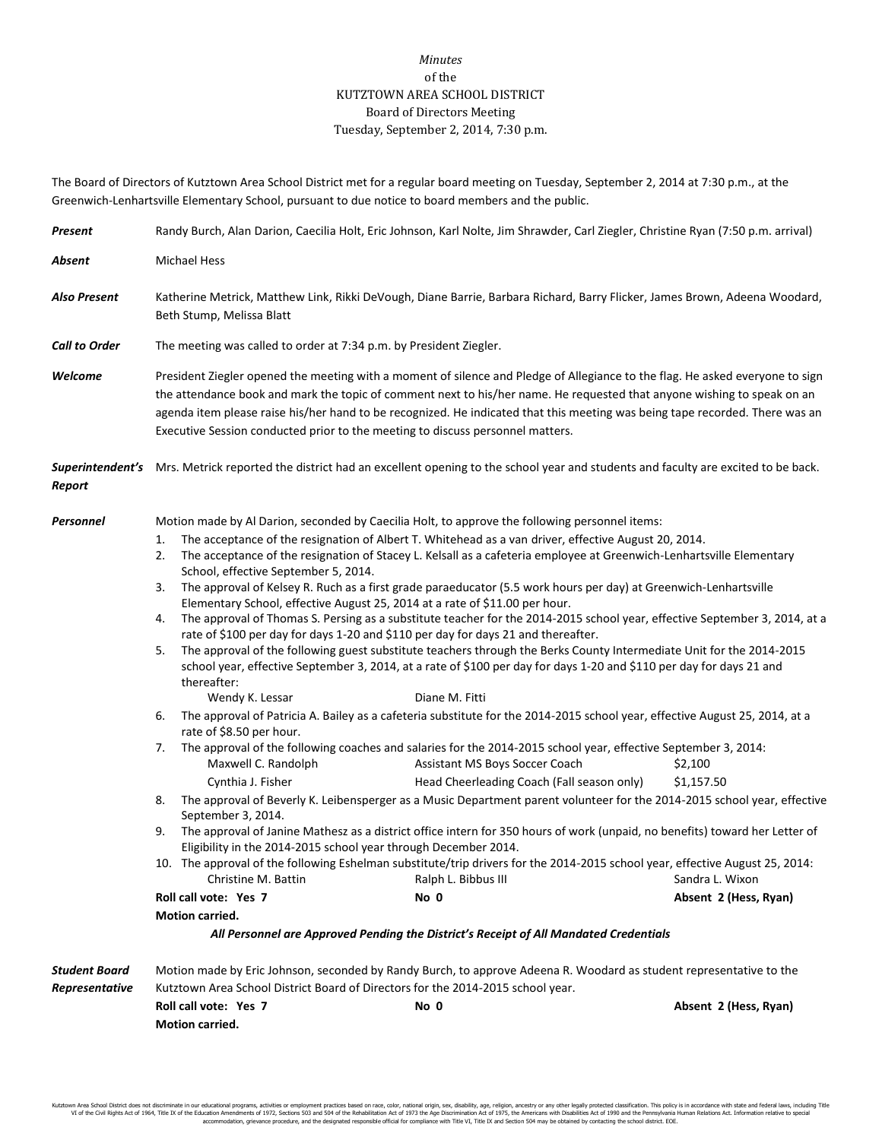## *Minutes* of the KUTZTOWN AREA SCHOOL DISTRICT Board of Directors Meeting Tuesday, September 2, 2014, 7:30 p.m.

The Board of Directors of Kutztown Area School District met for a regular board meeting on Tuesday, September 2, 2014 at 7:30 p.m., at the Greenwich-Lenhartsville Elementary School, pursuant to due notice to board members and the public.

| Present                                | Randy Burch, Alan Darion, Caecilia Holt, Eric Johnson, Karl Nolte, Jim Shrawder, Carl Ziegler, Christine Ryan (7:50 p.m. arrival)                                                                                                                                                                                                                                                                                                                                                                                                                                                                                                                                                                                                                                                                                                                                                                                                                                                                                                                                                                                                                                                 |                                                                                                                                                                                                                |                       |  |  |
|----------------------------------------|-----------------------------------------------------------------------------------------------------------------------------------------------------------------------------------------------------------------------------------------------------------------------------------------------------------------------------------------------------------------------------------------------------------------------------------------------------------------------------------------------------------------------------------------------------------------------------------------------------------------------------------------------------------------------------------------------------------------------------------------------------------------------------------------------------------------------------------------------------------------------------------------------------------------------------------------------------------------------------------------------------------------------------------------------------------------------------------------------------------------------------------------------------------------------------------|----------------------------------------------------------------------------------------------------------------------------------------------------------------------------------------------------------------|-----------------------|--|--|
| Absent                                 | <b>Michael Hess</b>                                                                                                                                                                                                                                                                                                                                                                                                                                                                                                                                                                                                                                                                                                                                                                                                                                                                                                                                                                                                                                                                                                                                                               |                                                                                                                                                                                                                |                       |  |  |
| <b>Also Present</b>                    | Katherine Metrick, Matthew Link, Rikki DeVough, Diane Barrie, Barbara Richard, Barry Flicker, James Brown, Adeena Woodard,<br>Beth Stump, Melissa Blatt                                                                                                                                                                                                                                                                                                                                                                                                                                                                                                                                                                                                                                                                                                                                                                                                                                                                                                                                                                                                                           |                                                                                                                                                                                                                |                       |  |  |
| <b>Call to Order</b>                   | The meeting was called to order at 7:34 p.m. by President Ziegler.                                                                                                                                                                                                                                                                                                                                                                                                                                                                                                                                                                                                                                                                                                                                                                                                                                                                                                                                                                                                                                                                                                                |                                                                                                                                                                                                                |                       |  |  |
| Welcome                                | President Ziegler opened the meeting with a moment of silence and Pledge of Allegiance to the flag. He asked everyone to sign<br>the attendance book and mark the topic of comment next to his/her name. He requested that anyone wishing to speak on an<br>agenda item please raise his/her hand to be recognized. He indicated that this meeting was being tape recorded. There was an<br>Executive Session conducted prior to the meeting to discuss personnel matters.                                                                                                                                                                                                                                                                                                                                                                                                                                                                                                                                                                                                                                                                                                        |                                                                                                                                                                                                                |                       |  |  |
| Report                                 | Superintendent's Mrs. Metrick reported the district had an excellent opening to the school year and students and faculty are excited to be back.                                                                                                                                                                                                                                                                                                                                                                                                                                                                                                                                                                                                                                                                                                                                                                                                                                                                                                                                                                                                                                  |                                                                                                                                                                                                                |                       |  |  |
| Personnel                              | Motion made by Al Darion, seconded by Caecilia Holt, to approve the following personnel items:<br>The acceptance of the resignation of Albert T. Whitehead as a van driver, effective August 20, 2014.<br>1.<br>The acceptance of the resignation of Stacey L. Kelsall as a cafeteria employee at Greenwich-Lenhartsville Elementary<br>2.<br>School, effective September 5, 2014.<br>The approval of Kelsey R. Ruch as a first grade paraeducator (5.5 work hours per day) at Greenwich-Lenhartsville<br>3.<br>Elementary School, effective August 25, 2014 at a rate of \$11.00 per hour.<br>The approval of Thomas S. Persing as a substitute teacher for the 2014-2015 school year, effective September 3, 2014, at a<br>4.<br>rate of \$100 per day for days 1-20 and \$110 per day for days 21 and thereafter.<br>The approval of the following guest substitute teachers through the Berks County Intermediate Unit for the 2014-2015<br>5.<br>school year, effective September 3, 2014, at a rate of \$100 per day for days 1-20 and \$110 per day for days 21 and<br>thereafter:                                                                                         |                                                                                                                                                                                                                |                       |  |  |
|                                        | The approval of Patricia A. Bailey as a cafeteria substitute for the 2014-2015 school year, effective August 25, 2014, at a<br>6.<br>rate of \$8.50 per hour.<br>The approval of the following coaches and salaries for the 2014-2015 school year, effective September 3, 2014:<br>7.<br>Maxwell C. Randolph<br>Assistant MS Boys Soccer Coach<br>\$2,100<br>Cynthia J. Fisher<br>\$1,157.50<br>Head Cheerleading Coach (Fall season only)<br>The approval of Beverly K. Leibensperger as a Music Department parent volunteer for the 2014-2015 school year, effective<br>8.<br>September 3, 2014.<br>The approval of Janine Mathesz as a district office intern for 350 hours of work (unpaid, no benefits) toward her Letter of<br>9.<br>Eligibility in the 2014-2015 school year through December 2014.<br>10. The approval of the following Eshelman substitute/trip drivers for the 2014-2015 school year, effective August 25, 2014:<br>Christine M. Battin<br>Ralph L. Bibbus III<br>Sandra L. Wixon<br>Roll call vote: Yes 7<br>No 0<br>Absent 2 (Hess, Ryan)<br>Motion carried.<br>All Personnel are Approved Pending the District's Receipt of All Mandated Credentials |                                                                                                                                                                                                                |                       |  |  |
| <b>Student Board</b><br>Representative | Roll call vote: Yes 7<br><b>Motion carried.</b>                                                                                                                                                                                                                                                                                                                                                                                                                                                                                                                                                                                                                                                                                                                                                                                                                                                                                                                                                                                                                                                                                                                                   | Motion made by Eric Johnson, seconded by Randy Burch, to approve Adeena R. Woodard as student representative to the<br>Kutztown Area School District Board of Directors for the 2014-2015 school year.<br>No 0 | Absent 2 (Hess, Ryan) |  |  |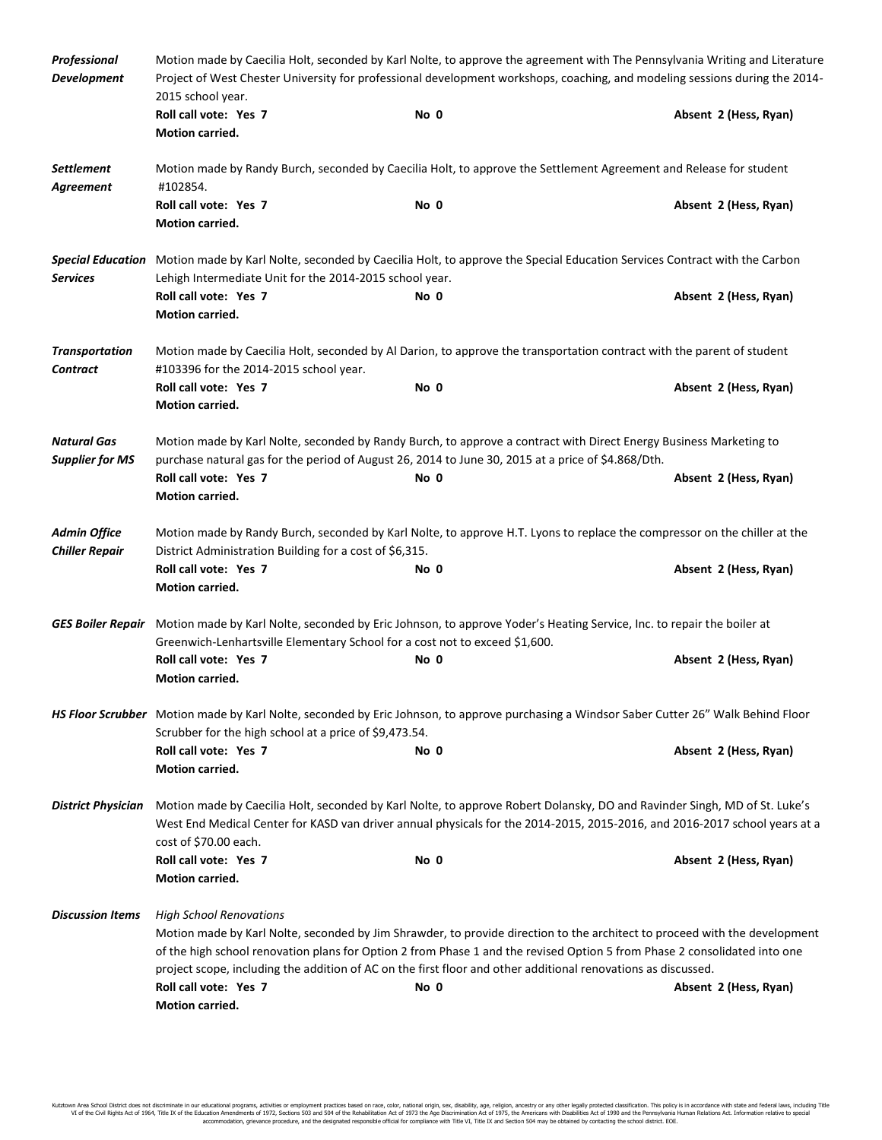| Professional<br><b>Development</b>           | Motion made by Caecilia Holt, seconded by Karl Nolte, to approve the agreement with The Pennsylvania Writing and Literature<br>Project of West Chester University for professional development workshops, coaching, and modeling sessions during the 2014-<br>2015 school year.                                                                                                                            |      |                       |  |  |
|----------------------------------------------|------------------------------------------------------------------------------------------------------------------------------------------------------------------------------------------------------------------------------------------------------------------------------------------------------------------------------------------------------------------------------------------------------------|------|-----------------------|--|--|
|                                              | Roll call vote: Yes 7<br><b>Motion carried.</b>                                                                                                                                                                                                                                                                                                                                                            | No 0 | Absent 2 (Hess, Ryan) |  |  |
| Settlement<br>Agreement                      | Motion made by Randy Burch, seconded by Caecilia Holt, to approve the Settlement Agreement and Release for student<br>#102854.                                                                                                                                                                                                                                                                             |      |                       |  |  |
|                                              | Roll call vote: Yes 7<br>Motion carried.                                                                                                                                                                                                                                                                                                                                                                   | No 0 | Absent 2 (Hess, Ryan) |  |  |
| <b>Services</b>                              | Special Education Motion made by Karl Nolte, seconded by Caecilia Holt, to approve the Special Education Services Contract with the Carbon<br>Lehigh Intermediate Unit for the 2014-2015 school year.                                                                                                                                                                                                      |      |                       |  |  |
|                                              | Roll call vote: Yes 7<br>Motion carried.                                                                                                                                                                                                                                                                                                                                                                   | No 0 | Absent 2 (Hess, Ryan) |  |  |
| <b>Transportation</b><br><b>Contract</b>     | Motion made by Caecilia Holt, seconded by Al Darion, to approve the transportation contract with the parent of student<br>#103396 for the 2014-2015 school year.                                                                                                                                                                                                                                           |      |                       |  |  |
|                                              | Roll call vote: Yes 7<br><b>Motion carried.</b>                                                                                                                                                                                                                                                                                                                                                            | No 0 | Absent 2 (Hess, Ryan) |  |  |
| <b>Natural Gas</b><br><b>Supplier for MS</b> | Motion made by Karl Nolte, seconded by Randy Burch, to approve a contract with Direct Energy Business Marketing to<br>purchase natural gas for the period of August 26, 2014 to June 30, 2015 at a price of \$4.868/Dth.                                                                                                                                                                                   |      |                       |  |  |
|                                              | Roll call vote: Yes 7<br>Motion carried.                                                                                                                                                                                                                                                                                                                                                                   | No 0 | Absent 2 (Hess, Ryan) |  |  |
| <b>Admin Office</b><br><b>Chiller Repair</b> | Motion made by Randy Burch, seconded by Karl Nolte, to approve H.T. Lyons to replace the compressor on the chiller at the<br>District Administration Building for a cost of \$6,315.                                                                                                                                                                                                                       |      |                       |  |  |
|                                              | Roll call vote: Yes 7<br>Motion carried.                                                                                                                                                                                                                                                                                                                                                                   | No 0 | Absent 2 (Hess, Ryan) |  |  |
|                                              | GES Boiler Repair Motion made by Karl Nolte, seconded by Eric Johnson, to approve Yoder's Heating Service, Inc. to repair the boiler at<br>Greenwich-Lenhartsville Elementary School for a cost not to exceed \$1,600.                                                                                                                                                                                     |      |                       |  |  |
|                                              | Roll call vote: Yes 7<br>Motion carried.                                                                                                                                                                                                                                                                                                                                                                   | No 0 | Absent 2 (Hess, Ryan) |  |  |
|                                              | HS Floor Scrubber Motion made by Karl Nolte, seconded by Eric Johnson, to approve purchasing a Windsor Saber Cutter 26" Walk Behind Floor<br>Scrubber for the high school at a price of \$9,473.54.                                                                                                                                                                                                        |      |                       |  |  |
|                                              | Roll call vote: Yes 7<br><b>Motion carried.</b>                                                                                                                                                                                                                                                                                                                                                            | No 0 | Absent 2 (Hess, Ryan) |  |  |
| <b>District Physician</b>                    | Motion made by Caecilia Holt, seconded by Karl Nolte, to approve Robert Dolansky, DO and Ravinder Singh, MD of St. Luke's<br>West End Medical Center for KASD van driver annual physicals for the 2014-2015, 2015-2016, and 2016-2017 school years at a<br>cost of \$70.00 each.                                                                                                                           |      |                       |  |  |
|                                              | Roll call vote: Yes 7<br>Motion carried.                                                                                                                                                                                                                                                                                                                                                                   | No 0 | Absent 2 (Hess, Ryan) |  |  |
| <b>Discussion Items</b>                      | <b>High School Renovations</b><br>Motion made by Karl Nolte, seconded by Jim Shrawder, to provide direction to the architect to proceed with the development<br>of the high school renovation plans for Option 2 from Phase 1 and the revised Option 5 from Phase 2 consolidated into one<br>project scope, including the addition of AC on the first floor and other additional renovations as discussed. |      |                       |  |  |
|                                              | Roll call vote: Yes 7<br>Motion carried.                                                                                                                                                                                                                                                                                                                                                                   | No 0 | Absent 2 (Hess, Ryan) |  |  |

Kutztown Area School District does not discriminate in our educational programs, activities or employment practices based on race, color, national origin, sex, disability, age, religion, ancestry or any other legally prot